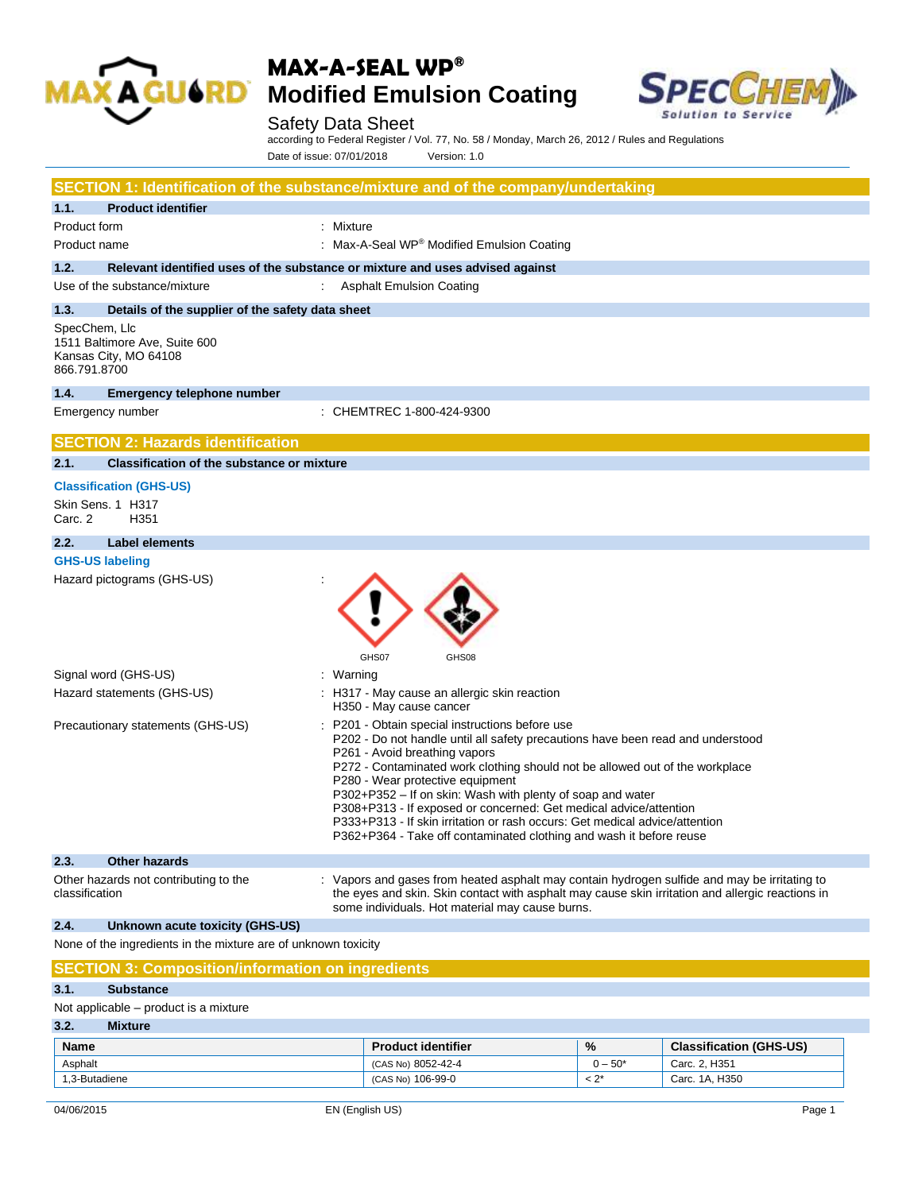



Safety Data Sheet according to Federal Register / Vol. 77, No. 58 / Monday, March 26, 2012 / Rules and Regulations Date of issue: 07/01/2018 Version: 1.0

|                                                                                         | SECTION 1: Identification of the substance/mixture and of the company/undertaking                                                                                                                                                                                                                                                                                                                                                                                                                                                                                              |
|-----------------------------------------------------------------------------------------|--------------------------------------------------------------------------------------------------------------------------------------------------------------------------------------------------------------------------------------------------------------------------------------------------------------------------------------------------------------------------------------------------------------------------------------------------------------------------------------------------------------------------------------------------------------------------------|
| <b>Product identifier</b><br>1.1.                                                       |                                                                                                                                                                                                                                                                                                                                                                                                                                                                                                                                                                                |
| Product form                                                                            | : Mixture                                                                                                                                                                                                                                                                                                                                                                                                                                                                                                                                                                      |
| Product name                                                                            | : Max-A-Seal WP® Modified Emulsion Coating                                                                                                                                                                                                                                                                                                                                                                                                                                                                                                                                     |
| 1.2.                                                                                    | Relevant identified uses of the substance or mixture and uses advised against                                                                                                                                                                                                                                                                                                                                                                                                                                                                                                  |
| Use of the substance/mixture                                                            | <b>Asphalt Emulsion Coating</b>                                                                                                                                                                                                                                                                                                                                                                                                                                                                                                                                                |
| 1.3.<br>Details of the supplier of the safety data sheet                                |                                                                                                                                                                                                                                                                                                                                                                                                                                                                                                                                                                                |
| SpecChem, Llc<br>1511 Baltimore Ave, Suite 600<br>Kansas City, MO 64108<br>866.791.8700 |                                                                                                                                                                                                                                                                                                                                                                                                                                                                                                                                                                                |
| 1.4.<br><b>Emergency telephone number</b>                                               |                                                                                                                                                                                                                                                                                                                                                                                                                                                                                                                                                                                |
| Emergency number                                                                        | : CHEMTREC 1-800-424-9300                                                                                                                                                                                                                                                                                                                                                                                                                                                                                                                                                      |
| <b>SECTION 2: Hazards identification</b>                                                |                                                                                                                                                                                                                                                                                                                                                                                                                                                                                                                                                                                |
| 2.1.<br><b>Classification of the substance or mixture</b>                               |                                                                                                                                                                                                                                                                                                                                                                                                                                                                                                                                                                                |
| <b>Classification (GHS-US)</b>                                                          |                                                                                                                                                                                                                                                                                                                                                                                                                                                                                                                                                                                |
| Skin Sens. 1 H317<br>Carc. 2<br>H351                                                    |                                                                                                                                                                                                                                                                                                                                                                                                                                                                                                                                                                                |
| <b>Label elements</b><br>2.2.                                                           |                                                                                                                                                                                                                                                                                                                                                                                                                                                                                                                                                                                |
| <b>GHS-US labeling</b>                                                                  |                                                                                                                                                                                                                                                                                                                                                                                                                                                                                                                                                                                |
| Hazard pictograms (GHS-US)                                                              | GHS07<br>GHS08                                                                                                                                                                                                                                                                                                                                                                                                                                                                                                                                                                 |
| Signal word (GHS-US)                                                                    | : Warning                                                                                                                                                                                                                                                                                                                                                                                                                                                                                                                                                                      |
| Hazard statements (GHS-US)                                                              | : H317 - May cause an allergic skin reaction<br>H350 - May cause cancer                                                                                                                                                                                                                                                                                                                                                                                                                                                                                                        |
| Precautionary statements (GHS-US)                                                       | P201 - Obtain special instructions before use<br>P202 - Do not handle until all safety precautions have been read and understood<br>P261 - Avoid breathing vapors<br>P272 - Contaminated work clothing should not be allowed out of the workplace<br>P280 - Wear protective equipment<br>P302+P352 - If on skin: Wash with plenty of soap and water<br>P308+P313 - If exposed or concerned: Get medical advice/attention<br>P333+P313 - If skin irritation or rash occurs: Get medical advice/attention<br>P362+P364 - Take off contaminated clothing and wash it before reuse |
| 2.3.<br><b>Other hazards</b>                                                            |                                                                                                                                                                                                                                                                                                                                                                                                                                                                                                                                                                                |
| Other hazards not contributing to the<br>classification                                 | : Vapors and gases from heated asphalt may contain hydrogen sulfide and may be irritating to<br>the eyes and skin. Skin contact with asphalt may cause skin irritation and allergic reactions in<br>some individuals. Hot material may cause burns.                                                                                                                                                                                                                                                                                                                            |
| 2.4.<br>Unknown acute toxicity (GHS-US)                                                 |                                                                                                                                                                                                                                                                                                                                                                                                                                                                                                                                                                                |
| None of the ingredients in the mixture are of unknown toxicity                          |                                                                                                                                                                                                                                                                                                                                                                                                                                                                                                                                                                                |
| <b>SECTION 3: Composition/information on ingredients</b>                                |                                                                                                                                                                                                                                                                                                                                                                                                                                                                                                                                                                                |

## **3.1. Substance**

Not applicable – product is a mixture

| 3.2.<br><b>Mixture</b> |                           |           |                                |
|------------------------|---------------------------|-----------|--------------------------------|
| <b>Name</b>            | <b>Product identifier</b> | $\%$      | <b>Classification (GHS-US)</b> |
| Asphalt                | (CAS No) 8052-42-4        | $0 - 50*$ | Carc. 2. H351                  |
| 1,3-Butadiene          | (CAS No) 106-99-0         | $< 2^*$   | Carc. 1A. H350                 |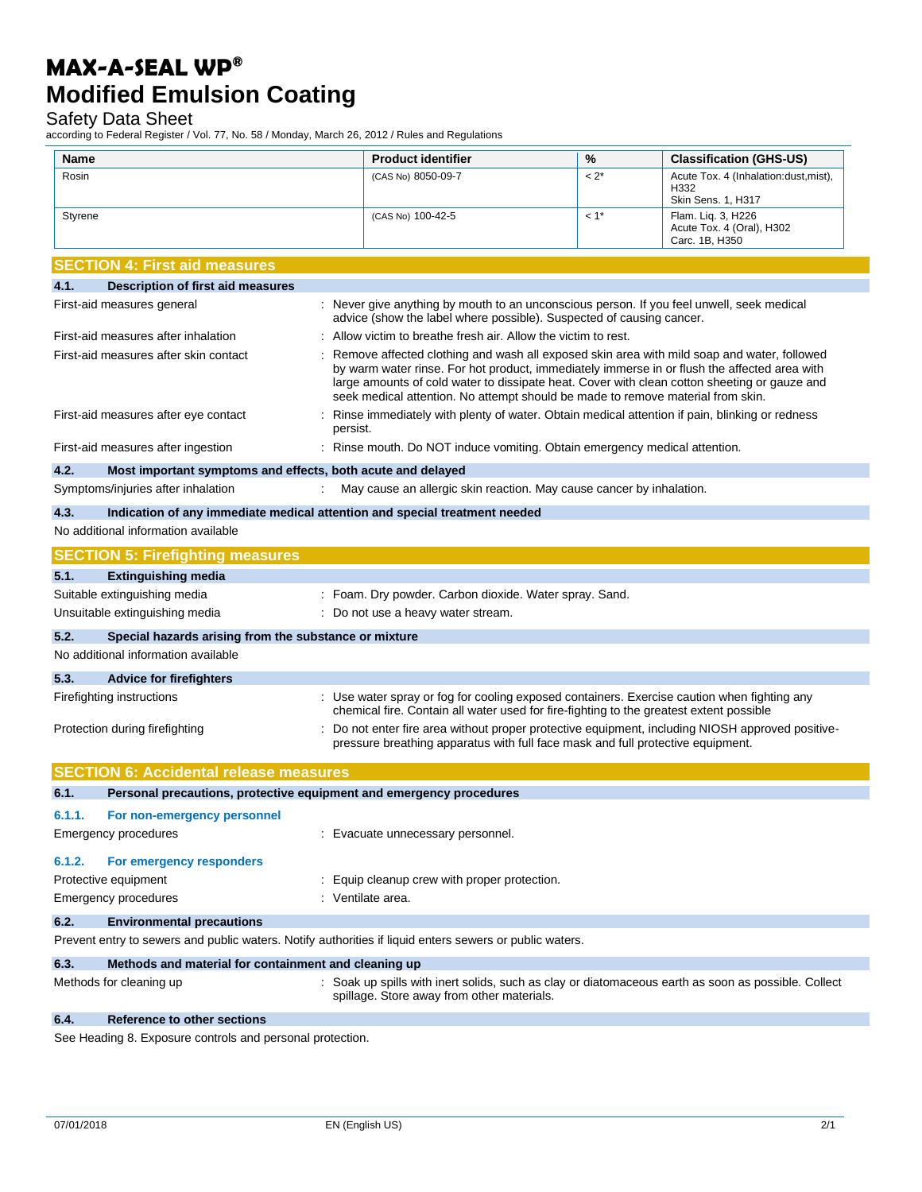Safety Data Sheet

according to Federal Register / Vol. 77, No. 58 / Monday, March 26, 2012 / Rules and Regulations

| Name    |                                                                                                         | <b>Product identifier</b>                                                                                                                                                                                                                                                                                                                                                     | %       | <b>Classification (GHS-US)</b>                                       |
|---------|---------------------------------------------------------------------------------------------------------|-------------------------------------------------------------------------------------------------------------------------------------------------------------------------------------------------------------------------------------------------------------------------------------------------------------------------------------------------------------------------------|---------|----------------------------------------------------------------------|
| Rosin   |                                                                                                         | (CAS No) 8050-09-7                                                                                                                                                                                                                                                                                                                                                            | $< 2^*$ | Acute Tox. 4 (Inhalation: dust, mist),<br>H332<br>Skin Sens. 1, H317 |
| Styrene |                                                                                                         | (CAS No) 100-42-5                                                                                                                                                                                                                                                                                                                                                             | $<1$ *  | Flam. Lig. 3, H226<br>Acute Tox. 4 (Oral), H302<br>Carc. 1B, H350    |
|         | <b>SECTION 4: First aid measures</b>                                                                    |                                                                                                                                                                                                                                                                                                                                                                               |         |                                                                      |
| 4.1.    | Description of first aid measures                                                                       |                                                                                                                                                                                                                                                                                                                                                                               |         |                                                                      |
|         | First-aid measures general                                                                              | : Never give anything by mouth to an unconscious person. If you feel unwell, seek medical<br>advice (show the label where possible). Suspected of causing cancer.                                                                                                                                                                                                             |         |                                                                      |
|         | First-aid measures after inhalation                                                                     | Allow victim to breathe fresh air. Allow the victim to rest.                                                                                                                                                                                                                                                                                                                  |         |                                                                      |
|         | First-aid measures after skin contact                                                                   | Remove affected clothing and wash all exposed skin area with mild soap and water, followed<br>by warm water rinse. For hot product, immediately immerse in or flush the affected area with<br>large amounts of cold water to dissipate heat. Cover with clean cotton sheeting or gauze and<br>seek medical attention. No attempt should be made to remove material from skin. |         |                                                                      |
|         | First-aid measures after eye contact                                                                    | Rinse immediately with plenty of water. Obtain medical attention if pain, blinking or redness<br>persist.                                                                                                                                                                                                                                                                     |         |                                                                      |
|         | First-aid measures after ingestion                                                                      | : Rinse mouth. Do NOT induce vomiting. Obtain emergency medical attention.                                                                                                                                                                                                                                                                                                    |         |                                                                      |
| 4.2.    | Most important symptoms and effects, both acute and delayed                                             |                                                                                                                                                                                                                                                                                                                                                                               |         |                                                                      |
|         | Symptoms/injuries after inhalation                                                                      | May cause an allergic skin reaction. May cause cancer by inhalation.                                                                                                                                                                                                                                                                                                          |         |                                                                      |
| 4.3.    | Indication of any immediate medical attention and special treatment needed                              |                                                                                                                                                                                                                                                                                                                                                                               |         |                                                                      |
|         | No additional information available                                                                     |                                                                                                                                                                                                                                                                                                                                                                               |         |                                                                      |
|         | <b>SECTION 5: Firefighting measures</b>                                                                 |                                                                                                                                                                                                                                                                                                                                                                               |         |                                                                      |
| 5.1.    | <b>Extinguishing media</b>                                                                              |                                                                                                                                                                                                                                                                                                                                                                               |         |                                                                      |
|         | Suitable extinguishing media                                                                            | : Foam. Dry powder. Carbon dioxide. Water spray. Sand.                                                                                                                                                                                                                                                                                                                        |         |                                                                      |
|         | Unsuitable extinguishing media                                                                          | : Do not use a heavy water stream.                                                                                                                                                                                                                                                                                                                                            |         |                                                                      |
| 5.2.    | Special hazards arising from the substance or mixture                                                   |                                                                                                                                                                                                                                                                                                                                                                               |         |                                                                      |
|         | No additional information available                                                                     |                                                                                                                                                                                                                                                                                                                                                                               |         |                                                                      |
| 5.3.    | <b>Advice for firefighters</b>                                                                          |                                                                                                                                                                                                                                                                                                                                                                               |         |                                                                      |
|         | Firefighting instructions                                                                               | : Use water spray or fog for cooling exposed containers. Exercise caution when fighting any<br>chemical fire. Contain all water used for fire-fighting to the greatest extent possible                                                                                                                                                                                        |         |                                                                      |
|         | Protection during firefighting                                                                          | : Do not enter fire area without proper protective equipment, including NIOSH approved positive-<br>pressure breathing apparatus with full face mask and full protective equipment.                                                                                                                                                                                           |         |                                                                      |
|         | <b>SECTION 6: Accidental release measures</b>                                                           |                                                                                                                                                                                                                                                                                                                                                                               |         |                                                                      |
| 6.1.    | Personal precautions, protective equipment and emergency procedures                                     |                                                                                                                                                                                                                                                                                                                                                                               |         |                                                                      |
| 6.1.1.  | For non-emergency personnel                                                                             |                                                                                                                                                                                                                                                                                                                                                                               |         |                                                                      |
|         | Emergency procedures                                                                                    | : Evacuate unnecessary personnel.                                                                                                                                                                                                                                                                                                                                             |         |                                                                      |
| 6.1.2.  | For emergency responders                                                                                |                                                                                                                                                                                                                                                                                                                                                                               |         |                                                                      |
|         | Protective equipment                                                                                    | : Equip cleanup crew with proper protection.                                                                                                                                                                                                                                                                                                                                  |         |                                                                      |
|         | <b>Emergency procedures</b>                                                                             | : Ventilate area.                                                                                                                                                                                                                                                                                                                                                             |         |                                                                      |
| 6.2.    | <b>Environmental precautions</b>                                                                        |                                                                                                                                                                                                                                                                                                                                                                               |         |                                                                      |
|         | Prevent entry to sewers and public waters. Notify authorities if liquid enters sewers or public waters. |                                                                                                                                                                                                                                                                                                                                                                               |         |                                                                      |
| 6.3.    | Methods and material for containment and cleaning up                                                    |                                                                                                                                                                                                                                                                                                                                                                               |         |                                                                      |
|         | Methods for cleaning up                                                                                 | : Soak up spills with inert solids, such as clay or diatomaceous earth as soon as possible. Collect<br>spillage. Store away from other materials.                                                                                                                                                                                                                             |         |                                                                      |
| 6.4.    | Reference to other sections                                                                             |                                                                                                                                                                                                                                                                                                                                                                               |         |                                                                      |

See Heading 8. Exposure controls and personal protection.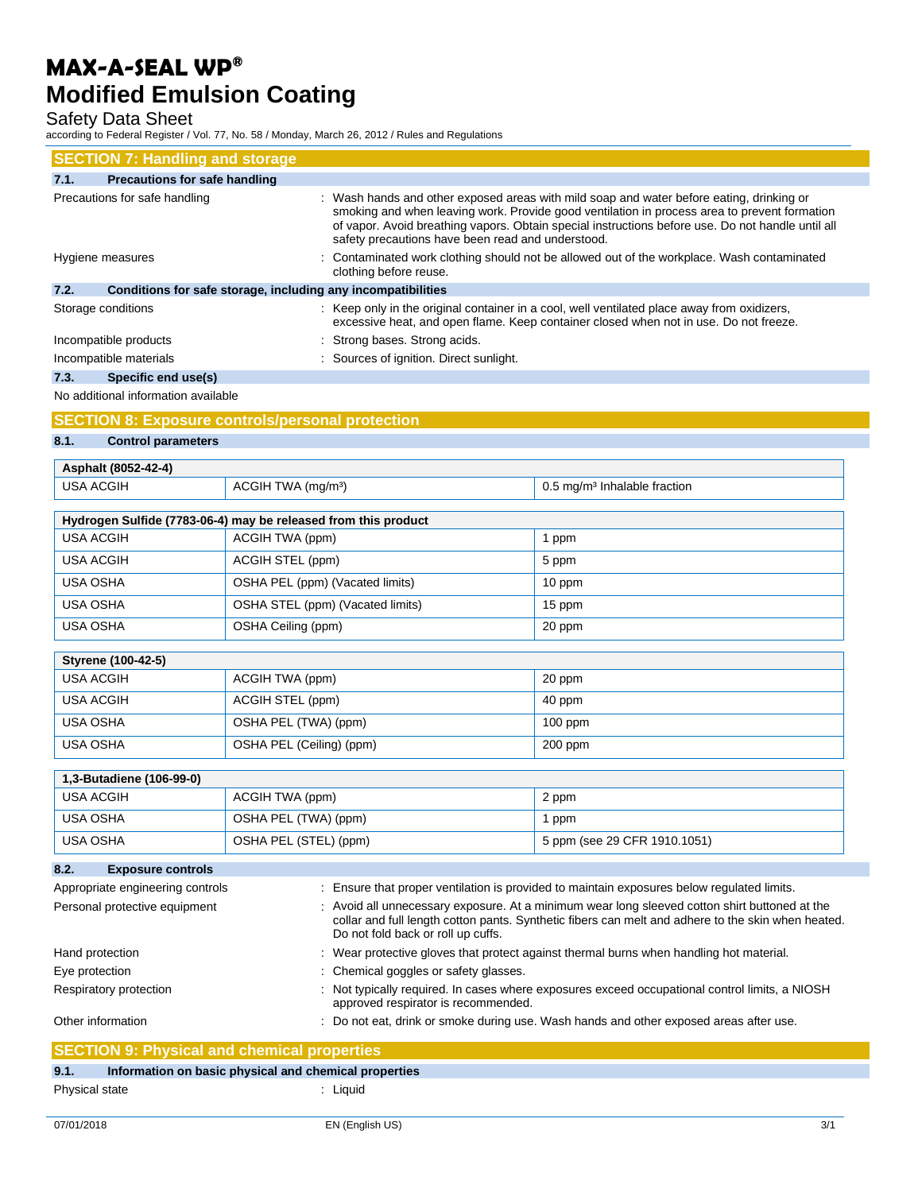Safety Data Sheet

according to Federal Register / Vol. 77, No. 58 / Monday, March 26, 2012 / Rules and Regulations

| <b>SECTION 7: Handling and storage</b>                               |                                                                                                                                                                                                                                                                                                                                                    |
|----------------------------------------------------------------------|----------------------------------------------------------------------------------------------------------------------------------------------------------------------------------------------------------------------------------------------------------------------------------------------------------------------------------------------------|
| <b>Precautions for safe handling</b><br>7.1.                         |                                                                                                                                                                                                                                                                                                                                                    |
| Precautions for safe handling                                        | : Wash hands and other exposed areas with mild soap and water before eating, drinking or<br>smoking and when leaving work. Provide good ventilation in process area to prevent formation<br>of vapor. Avoid breathing vapors. Obtain special instructions before use. Do not handle until all<br>safety precautions have been read and understood. |
| Hygiene measures                                                     | : Contaminated work clothing should not be allowed out of the workplace. Wash contaminated<br>clothing before reuse.                                                                                                                                                                                                                               |
| 7.2.<br>Conditions for safe storage, including any incompatibilities |                                                                                                                                                                                                                                                                                                                                                    |
| Storage conditions                                                   | : Keep only in the original container in a cool, well ventilated place away from oxidizers,<br>excessive heat, and open flame. Keep container closed when not in use. Do not freeze.                                                                                                                                                               |
| Incompatible products                                                | : Strong bases. Strong acids.                                                                                                                                                                                                                                                                                                                      |
| Incompatible materials                                               | : Sources of ignition. Direct sunlight.                                                                                                                                                                                                                                                                                                            |
| Specific end use(s)<br>7.3.                                          |                                                                                                                                                                                                                                                                                                                                                    |

No additional information available

## **SECTION 8: Exposure controls/personal protection**

**8.1. Control parameters**

 $\mathbf{r}$ 

| Asphalt (8052-42-4) |                                |                                          |
|---------------------|--------------------------------|------------------------------------------|
| USA ACGIH           | ACGIH TWA (mg/m <sup>3</sup> ) | 0.5 mg/m <sup>3</sup> Inhalable fraction |

| Hydrogen Sulfide (7783-06-4) may be released from this product |                                    |                 |
|----------------------------------------------------------------|------------------------------------|-----------------|
| USA ACGIH                                                      | ACGIH TWA (ppm)                    | ppm             |
| <b>USA ACGIH</b>                                               | ACGIH STEL (ppm)                   | 5 ppm           |
| <b>USA OSHA</b>                                                | OSHA PEL (ppm) (Vacated limits)    | 10 ppm          |
| USA OSHA                                                       | OSHA STEL (ppm) (Vacated limits)   | 15 ppm          |
| <b>USA OSHA</b>                                                | OSHA Ceiling (ppm)                 | 20 ppm          |
|                                                                |                                    |                 |
| <b>Styrene (100-42-5)</b>                                      |                                    |                 |
| LION ACCIU                                                     | $\Lambda$ CCILI T $M\Lambda$ (nnm) | $20 \text{ nm}$ |

| USA ACGIH | ACGIH TWA (ppm)          | 20 ppm    |
|-----------|--------------------------|-----------|
| USA ACGIH | ACGIH STEL (ppm)         | 40 ppm    |
| USA OSHA  | OSHA PEL (TWA) (ppm)     | $100$ ppm |
| USA OSHA  | OSHA PEL (Ceiling) (ppm) | $200$ ppm |

| 1,3-Butadiene (106-99-0) |                       |                              |
|--------------------------|-----------------------|------------------------------|
| USA ACGIH                | ACGIH TWA (ppm)       | 2 ppm                        |
| USA OSHA                 | OSHA PEL (TWA) (ppm)  | ppm                          |
| USA OSHA                 | OSHA PEL (STEL) (ppm) | 5 ppm (see 29 CFR 1910.1051) |

| 8.2.<br><b>Exposure controls</b> |                                                                                                                                                                                                                                           |
|----------------------------------|-------------------------------------------------------------------------------------------------------------------------------------------------------------------------------------------------------------------------------------------|
| Appropriate engineering controls | : Ensure that proper ventilation is provided to maintain exposures below regulated limits.                                                                                                                                                |
| Personal protective equipment    | : Avoid all unnecessary exposure. At a minimum wear long sleeved cotton shirt buttoned at the<br>collar and full length cotton pants. Synthetic fibers can melt and adhere to the skin when heated.<br>Do not fold back or roll up cuffs. |
| Hand protection                  | : Wear protective gloves that protect against thermal burns when handling hot material.                                                                                                                                                   |
| Eye protection                   | : Chemical goggles or safety glasses.                                                                                                                                                                                                     |
| Respiratory protection           | : Not typically required. In cases where exposures exceed occupational control limits, a NIOSH<br>approved respirator is recommended.                                                                                                     |
| Other information                | : Do not eat, drink or smoke during use. Wash hands and other exposed areas after use.                                                                                                                                                    |

|                | <b>SECTION 9: Physical and chemical properties</b>    |
|----------------|-------------------------------------------------------|
| 9.1.           | Information on basic physical and chemical properties |
| Physical state | Liauid                                                |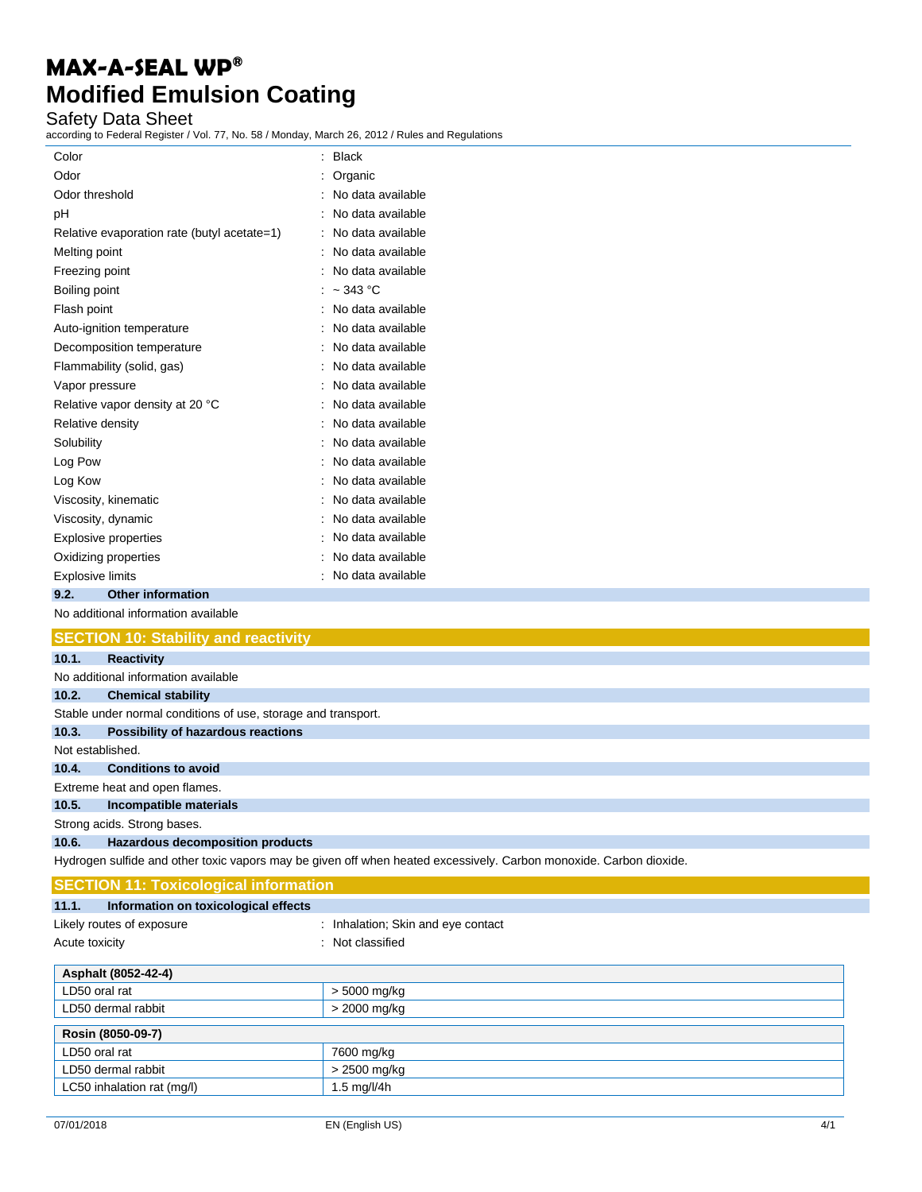### Safety Data Sheet

according to Federal Register / Vol. 77, No. 58 / Monday, March 26, 2012 / Rules and Regulations

| Color                                       | $:$ Black           |
|---------------------------------------------|---------------------|
| Odor                                        | : Organic           |
| Odor threshold                              | : No data available |
| pH                                          | : No data available |
| Relative evaporation rate (butyl acetate=1) | : No data available |
| Melting point                               | : No data available |
| Freezing point                              | : No data available |
| Boiling point                               | : $\sim$ 343 °C     |
| Flash point                                 | : No data available |
| Auto-ignition temperature                   | : No data available |
| Decomposition temperature                   | : No data available |
| Flammability (solid, gas)                   | : No data available |
| Vapor pressure                              | : No data available |
| Relative vapor density at 20 °C             | : No data available |
| Relative density                            | : No data available |
| Solubility                                  | : No data available |
| Log Pow                                     | : No data available |
| Log Kow                                     | : No data available |
| Viscosity, kinematic                        | : No data available |
| Viscosity, dynamic                          | : No data available |
| <b>Explosive properties</b>                 | : No data available |
| Oxidizing properties                        | : No data available |
| <b>Explosive limits</b>                     | : No data available |
| <b>Other information</b><br>9.2.            |                     |
| No additional information available         |                     |

|                             | <b>SECTION 10: Stability and reactivity</b>                   |
|-----------------------------|---------------------------------------------------------------|
| 10.1.                       | <b>Reactivity</b>                                             |
|                             | No additional information available                           |
| 10.2.                       | <b>Chemical stability</b>                                     |
|                             | Stable under normal conditions of use, storage and transport. |
| 10.3.                       | Possibility of hazardous reactions                            |
| Not established.            |                                                               |
| 10.4.                       | <b>Conditions to avoid</b>                                    |
|                             | Extreme heat and open flames.                                 |
| 10.5.                       | Incompatible materials                                        |
| Strong acids. Strong bases. |                                                               |
| 10.6.                       | <b>Hazardous decomposition products</b>                       |

Hydrogen sulfide and other toxic vapors may be given off when heated excessively. Carbon monoxide. Carbon dioxide.

| <b>SECTION 11: Toxicological information</b>  |                                    |  |  |
|-----------------------------------------------|------------------------------------|--|--|
| Information on toxicological effects<br>11.1. |                                    |  |  |
| Likely routes of exposure                     | : Inhalation; Skin and eye contact |  |  |
| Acute toxicity                                | : Not classified                   |  |  |
| Asphalt (8052-42-4)                           |                                    |  |  |
| LD50 oral rat                                 | > 5000 mg/kg                       |  |  |
| LD50 dermal rabbit                            | > 2000 mg/kg                       |  |  |
| Rosin (8050-09-7)                             |                                    |  |  |
| LD50 oral rat                                 | 7600 mg/kg                         |  |  |
| LD50 dermal rabbit                            | > 2500 mg/kg                       |  |  |
| LC50 inhalation rat (mg/l)                    | $1.5$ mg/l/4h                      |  |  |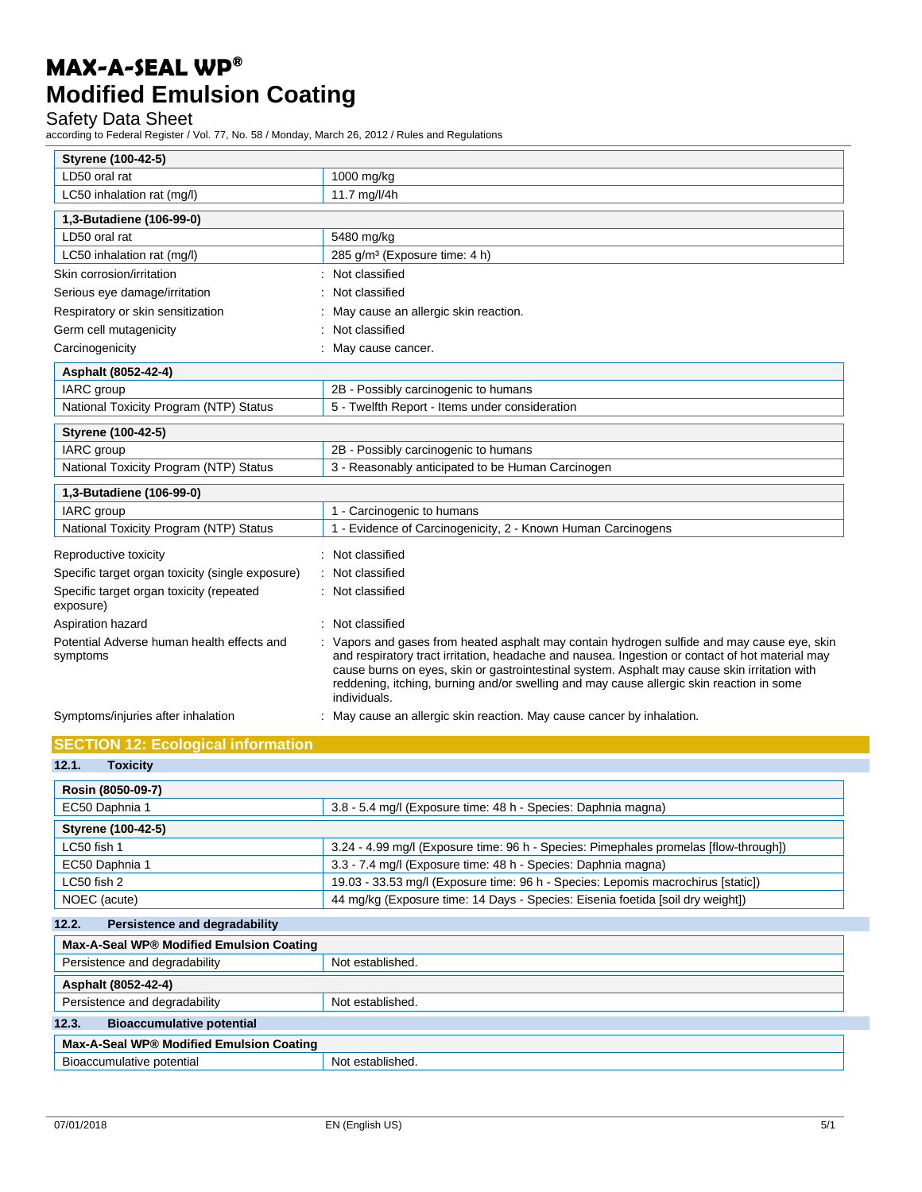### Safety Data Sheet

according to Federal Register / Vol. 77, No. 58 / Monday, March 26, 2012 / Rules and Regulations

| Styrene (100-42-5)                                     |                                                                                                                                                                                                                                                                                                                                                                                                          |
|--------------------------------------------------------|----------------------------------------------------------------------------------------------------------------------------------------------------------------------------------------------------------------------------------------------------------------------------------------------------------------------------------------------------------------------------------------------------------|
| LD50 oral rat                                          | 1000 mg/kg                                                                                                                                                                                                                                                                                                                                                                                               |
| LC50 inhalation rat (mg/l)                             | 11.7 mg/l/4h                                                                                                                                                                                                                                                                                                                                                                                             |
| 1,3-Butadiene (106-99-0)                               |                                                                                                                                                                                                                                                                                                                                                                                                          |
| LD50 oral rat                                          | 5480 mg/kg                                                                                                                                                                                                                                                                                                                                                                                               |
| LC50 inhalation rat (mg/l)                             | 285 g/m <sup>3</sup> (Exposure time: 4 h)                                                                                                                                                                                                                                                                                                                                                                |
| Skin corrosion/irritation                              | Not classified                                                                                                                                                                                                                                                                                                                                                                                           |
| Serious eye damage/irritation                          | Not classified                                                                                                                                                                                                                                                                                                                                                                                           |
| Respiratory or skin sensitization                      | May cause an allergic skin reaction.                                                                                                                                                                                                                                                                                                                                                                     |
| Germ cell mutagenicity                                 | Not classified                                                                                                                                                                                                                                                                                                                                                                                           |
| Carcinogenicity                                        | : May cause cancer.                                                                                                                                                                                                                                                                                                                                                                                      |
| Asphalt (8052-42-4)                                    |                                                                                                                                                                                                                                                                                                                                                                                                          |
| <b>IARC</b> group                                      | 2B - Possibly carcinogenic to humans                                                                                                                                                                                                                                                                                                                                                                     |
| National Toxicity Program (NTP) Status                 | 5 - Twelfth Report - Items under consideration                                                                                                                                                                                                                                                                                                                                                           |
| <b>Styrene (100-42-5)</b>                              |                                                                                                                                                                                                                                                                                                                                                                                                          |
| IARC group                                             | 2B - Possibly carcinogenic to humans                                                                                                                                                                                                                                                                                                                                                                     |
| National Toxicity Program (NTP) Status                 | 3 - Reasonably anticipated to be Human Carcinogen                                                                                                                                                                                                                                                                                                                                                        |
| 1,3-Butadiene (106-99-0)                               |                                                                                                                                                                                                                                                                                                                                                                                                          |
| IARC group                                             | 1 - Carcinogenic to humans                                                                                                                                                                                                                                                                                                                                                                               |
| National Toxicity Program (NTP) Status                 | 1 - Evidence of Carcinogenicity, 2 - Known Human Carcinogens                                                                                                                                                                                                                                                                                                                                             |
| Reproductive toxicity                                  | Not classified                                                                                                                                                                                                                                                                                                                                                                                           |
| Specific target organ toxicity (single exposure)       | Not classified                                                                                                                                                                                                                                                                                                                                                                                           |
| Specific target organ toxicity (repeated<br>exposure)  | Not classified                                                                                                                                                                                                                                                                                                                                                                                           |
| Aspiration hazard                                      | Not classified                                                                                                                                                                                                                                                                                                                                                                                           |
| Potential Adverse human health effects and<br>symptoms | Vapors and gases from heated asphalt may contain hydrogen sulfide and may cause eye, skin<br>and respiratory tract irritation, headache and nausea. Ingestion or contact of hot material may<br>cause burns on eyes, skin or gastrointestinal system. Asphalt may cause skin irritation with<br>reddening, itching, burning and/or swelling and may cause allergic skin reaction in some<br>individuals. |
| Symptoms/injuries after inhalation                     | May cause an allergic skin reaction. May cause cancer by inhalation.                                                                                                                                                                                                                                                                                                                                     |
| <b>SECTION 12: Ecological information</b>              |                                                                                                                                                                                                                                                                                                                                                                                                          |
| 12.1.<br><b>Toxicity</b>                               |                                                                                                                                                                                                                                                                                                                                                                                                          |
| Rosin (8050-09-7)                                      |                                                                                                                                                                                                                                                                                                                                                                                                          |
| EC50 Daphnia 1                                         | 3.8 - 5.4 mg/l (Exposure time: 48 h - Species: Daphnia magna)                                                                                                                                                                                                                                                                                                                                            |
| <b>Styrene (100-42-5)</b>                              |                                                                                                                                                                                                                                                                                                                                                                                                          |
| LC50 fish 1                                            | 3.24 - 4.99 mg/l (Exposure time: 96 h - Species: Pimephales promelas [flow-through])                                                                                                                                                                                                                                                                                                                     |
| EC50 Daphnia 1                                         | 3.3 - 7.4 mg/l (Exposure time: 48 h - Species: Daphnia magna)                                                                                                                                                                                                                                                                                                                                            |
| LC50 fish 2                                            | 19.03 - 33.53 mg/l (Exposure time: 96 h - Species: Lepomis macrochirus [static])                                                                                                                                                                                                                                                                                                                         |

| NOEC (acute) | 4 mg/kg (Exposure time: 14 Days - Species: Eisenia foetida [soil dry weight])<br>$\Lambda\Lambda$ |
|--------------|---------------------------------------------------------------------------------------------------|
|              |                                                                                                   |

| 12.2.<br>Persistence and degradability    |                  |
|-------------------------------------------|------------------|
| Max-A-Seal WP® Modified Emulsion Coating  |                  |
| Persistence and degradability             | Not established. |
| Asphalt (8052-42-4)                       |                  |
| Persistence and degradability             | Not established. |
| 12.3.<br><b>Bioaccumulative potential</b> |                  |
| Max-A-Seal WP® Modified Emulsion Coating  |                  |
| Bioaccumulative potential                 | Not established. |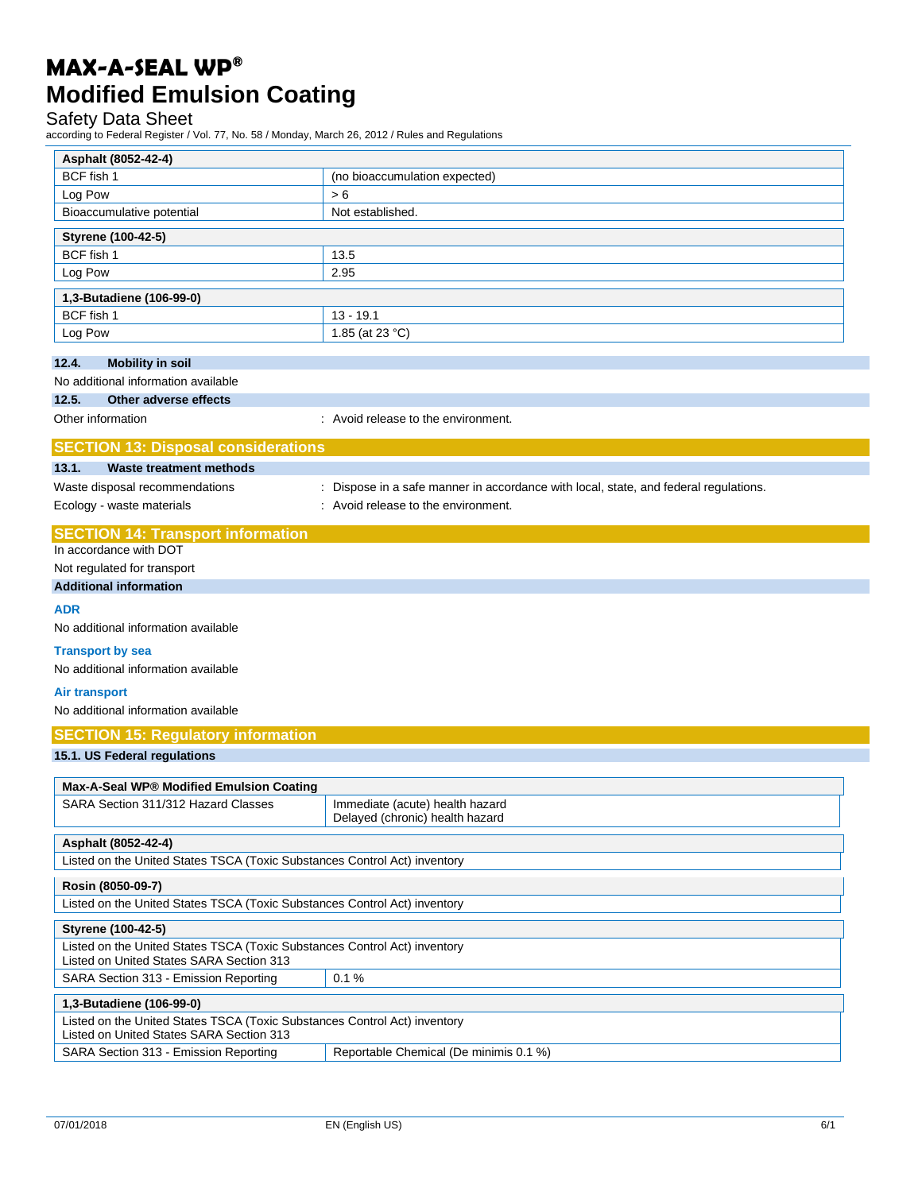### Safety Data Sheet

according to Federal Register / Vol. 77, No. 58 / Monday, March 26, 2012 / Rules and Regulations

| Asphalt (8052-42-4)                                                       |                                                                                      |
|---------------------------------------------------------------------------|--------------------------------------------------------------------------------------|
| BCF fish 1                                                                | (no bioaccumulation expected)                                                        |
| Log Pow                                                                   | > 6                                                                                  |
| Bioaccumulative potential                                                 | Not established.                                                                     |
| Styrene (100-42-5)                                                        |                                                                                      |
| BCF fish 1                                                                | 13.5                                                                                 |
| Log Pow                                                                   | 2.95                                                                                 |
|                                                                           |                                                                                      |
| 1,3-Butadiene (106-99-0)                                                  |                                                                                      |
| BCF fish 1                                                                | $13 - 19.1$                                                                          |
| Log Pow                                                                   | 1.85 (at 23 °C)                                                                      |
| 12.4.<br><b>Mobility in soil</b>                                          |                                                                                      |
| No additional information available                                       |                                                                                      |
| 12.5.<br>Other adverse effects                                            |                                                                                      |
| Other information                                                         | : Avoid release to the environment.                                                  |
|                                                                           |                                                                                      |
| <b>SECTION 13: Disposal considerations</b>                                |                                                                                      |
| 13.1.<br><b>Waste treatment methods</b>                                   |                                                                                      |
| Waste disposal recommendations                                            | : Dispose in a safe manner in accordance with local, state, and federal regulations. |
| Ecology - waste materials                                                 | : Avoid release to the environment.                                                  |
| <b>SECTION 14: Transport information</b>                                  |                                                                                      |
| In accordance with DOT                                                    |                                                                                      |
| Not regulated for transport                                               |                                                                                      |
| <b>Additional information</b>                                             |                                                                                      |
| <b>ADR</b>                                                                |                                                                                      |
| No additional information available                                       |                                                                                      |
|                                                                           |                                                                                      |
| <b>Transport by sea</b>                                                   |                                                                                      |
| No additional information available                                       |                                                                                      |
| Air transport                                                             |                                                                                      |
| No additional information available                                       |                                                                                      |
| <b>SECTION 15: Regulatory information</b>                                 |                                                                                      |
| 15.1. US Federal regulations                                              |                                                                                      |
|                                                                           |                                                                                      |
| Max-A-Seal WP® Modified Emulsion Coating                                  |                                                                                      |
| SARA Section 311/312 Hazard Classes                                       | Immediate (acute) health hazard                                                      |
|                                                                           | Delayed (chronic) health hazard                                                      |
| Asphalt (8052-42-4)                                                       |                                                                                      |
| Listed on the United States TSCA (Toxic Substances Control Act) inventory |                                                                                      |
| Rosin (8050-09-7)                                                         |                                                                                      |
| Listed on the United States TSCA (Toxic Substances Control Act) inventory |                                                                                      |
| Styrene (100-42-5)                                                        |                                                                                      |
| Listed on the United States TSCA (Toxic Substances Control Act) inventory |                                                                                      |
| Listed on United States SARA Section 313                                  |                                                                                      |
| SARA Section 313 - Emission Reporting                                     | 0.1%                                                                                 |
| 1,3-Butadiene (106-99-0)                                                  |                                                                                      |
| Listed on the United States TSCA (Toxic Substances Control Act) inventory |                                                                                      |
| Listed on United States SARA Section 313                                  |                                                                                      |
| SARA Section 313 - Emission Reporting                                     | Reportable Chemical (De minimis 0.1 %)                                               |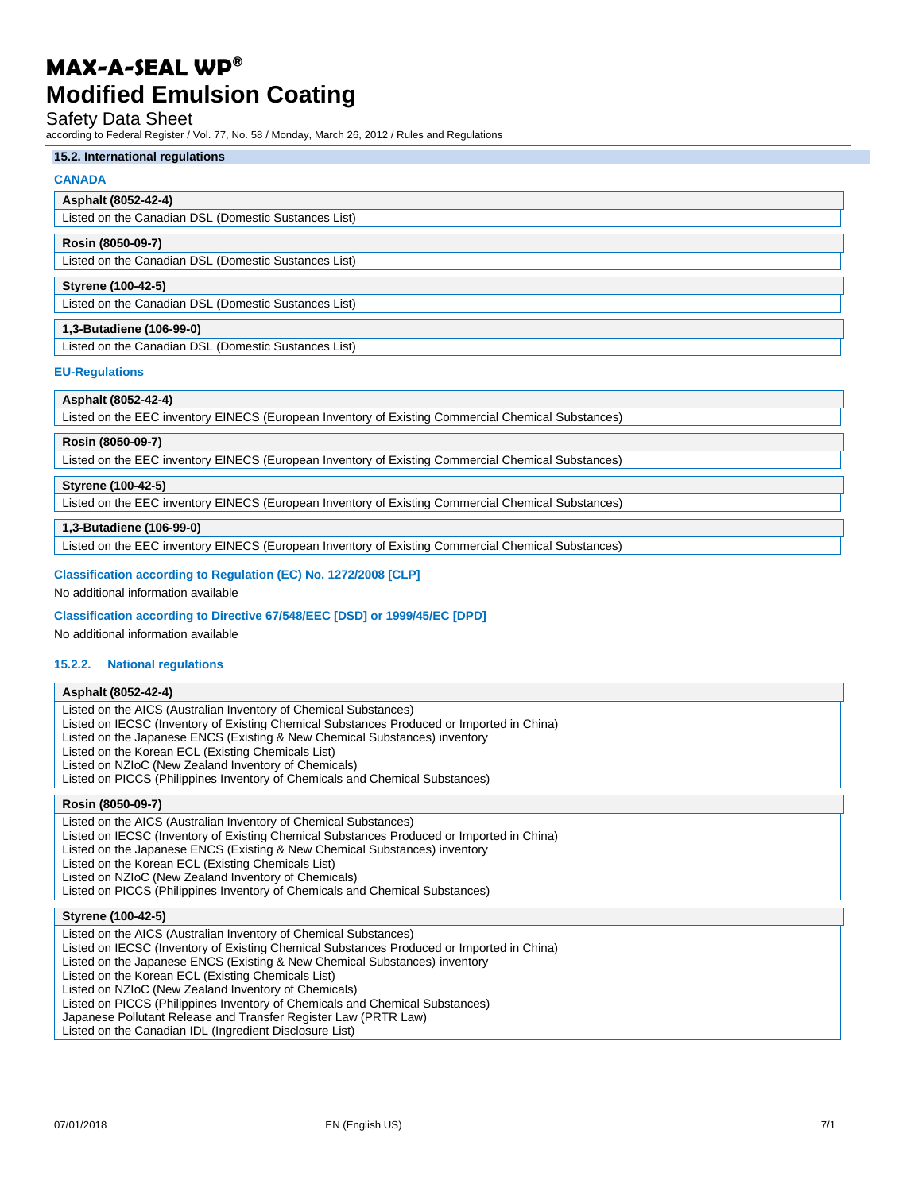#### Safety Data Sheet

according to Federal Register / Vol. 77, No. 58 / Monday, March 26, 2012 / Rules and Regulations

#### **15.2. International regulations**

#### **CANADA**

### **Asphalt (8052-42-4)**

Listed on the Canadian DSL (Domestic Sustances List)

#### **Rosin (8050-09-7)**

Listed on the Canadian DSL (Domestic Sustances List)

#### **Styrene (100-42-5)**

Listed on the Canadian DSL (Domestic Sustances List)

#### **1,3-Butadiene (106-99-0)**

Listed on the Canadian DSL (Domestic Sustances List)

#### **EU-Regulations**

#### **Asphalt (8052-42-4)**

Listed on the EEC inventory EINECS (European Inventory of Existing Commercial Chemical Substances)

#### **Rosin (8050-09-7)**

Listed on the EEC inventory EINECS (European Inventory of Existing Commercial Chemical Substances)

#### **Styrene (100-42-5)**

Listed on the EEC inventory EINECS (European Inventory of Existing Commercial Chemical Substances)

#### **1,3-Butadiene (106-99-0)**

Listed on the EEC inventory EINECS (European Inventory of Existing Commercial Chemical Substances)

#### **Classification according to Regulation (EC) No. 1272/2008 [CLP]**

No additional information available

#### **Classification according to Directive 67/548/EEC [DSD] or 1999/45/EC [DPD]**

No additional information available

#### **15.2.2. National regulations**

#### **Asphalt (8052-42-4)**

Listed on the AICS (Australian Inventory of Chemical Substances) Listed on IECSC (Inventory of Existing Chemical Substances Produced or Imported in China) Listed on the Japanese ENCS (Existing & New Chemical Substances) inventory Listed on the Korean ECL (Existing Chemicals List) Listed on NZIoC (New Zealand Inventory of Chemicals)

Listed on PICCS (Philippines Inventory of Chemicals and Chemical Substances)

### **Rosin (8050-09-7)**

Listed on the AICS (Australian Inventory of Chemical Substances) Listed on IECSC (Inventory of Existing Chemical Substances Produced or Imported in China) Listed on the Japanese ENCS (Existing & New Chemical Substances) inventory Listed on the Korean ECL (Existing Chemicals List) Listed on NZIoC (New Zealand Inventory of Chemicals) Listed on PICCS (Philippines Inventory of Chemicals and Chemical Substances)

#### **Styrene (100-42-5)**

Listed on the AICS (Australian Inventory of Chemical Substances) Listed on IECSC (Inventory of Existing Chemical Substances Produced or Imported in China) Listed on the Japanese ENCS (Existing & New Chemical Substances) inventory Listed on the Korean ECL (Existing Chemicals List) Listed on NZIoC (New Zealand Inventory of Chemicals) Listed on PICCS (Philippines Inventory of Chemicals and Chemical Substances) Japanese Pollutant Release and Transfer Register Law (PRTR Law) Listed on the Canadian IDL (Ingredient Disclosure List)